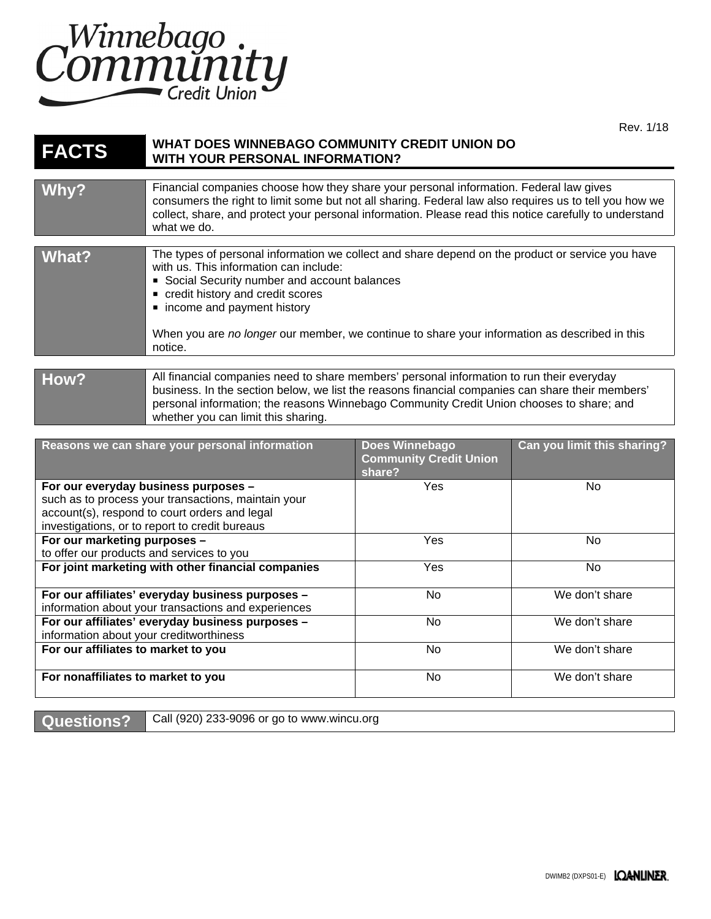

Rev. 1/18

| <b>FACTS</b>                                   | WHAT DOES WINNEBAGO COMMUNITY CREDIT UNION DO<br><b>WITH YOUR PERSONAL INFORMATION?</b>                                                                                                                                                                                                                                                                                   |                                                 |                             |
|------------------------------------------------|---------------------------------------------------------------------------------------------------------------------------------------------------------------------------------------------------------------------------------------------------------------------------------------------------------------------------------------------------------------------------|-------------------------------------------------|-----------------------------|
| Why?                                           | Financial companies choose how they share your personal information. Federal law gives<br>consumers the right to limit some but not all sharing. Federal law also requires us to tell you how we<br>collect, share, and protect your personal information. Please read this notice carefully to understand<br>what we do.                                                 |                                                 |                             |
| What?                                          | The types of personal information we collect and share depend on the product or service you have<br>with us. This information can include:<br>Social Security number and account balances<br>credit history and credit scores<br>• income and payment history<br>When you are no longer our member, we continue to share your information as described in this<br>notice. |                                                 |                             |
| How?                                           | All financial companies need to share members' personal information to run their everyday<br>business. In the section below, we list the reasons financial companies can share their members'<br>personal information; the reasons Winnebago Community Credit Union chooses to share; and<br>whether you can limit this sharing.                                          |                                                 |                             |
| Reasons we can share your personal information |                                                                                                                                                                                                                                                                                                                                                                           | Does Winnebago<br><b>Community Credit Union</b> | Can you limit this sharing? |

|                                                     | <b>COMMUNISTY Creat Union</b><br>share? |                |
|-----------------------------------------------------|-----------------------------------------|----------------|
| For our everyday business purposes -                | Yes                                     | No.            |
| such as to process your transactions, maintain your |                                         |                |
| account(s), respond to court orders and legal       |                                         |                |
| investigations, or to report to credit bureaus      |                                         |                |
| For our marketing purposes -                        | Yes                                     | No             |
| to offer our products and services to you           |                                         |                |
| For joint marketing with other financial companies  | <b>Yes</b>                              | No.            |
|                                                     |                                         |                |
| For our affiliates' everyday business purposes -    | No.                                     | We don't share |
| information about your transactions and experiences |                                         |                |
| For our affiliates' everyday business purposes -    | No.                                     | We don't share |
| information about your creditworthiness             |                                         |                |
| For our affiliates to market to you                 | No.                                     | We don't share |
|                                                     |                                         |                |
| For nonaffiliates to market to you                  | No.                                     | We don't share |
|                                                     |                                         |                |

Questions? Call (920) 233-9096 or go to www.wincu.org